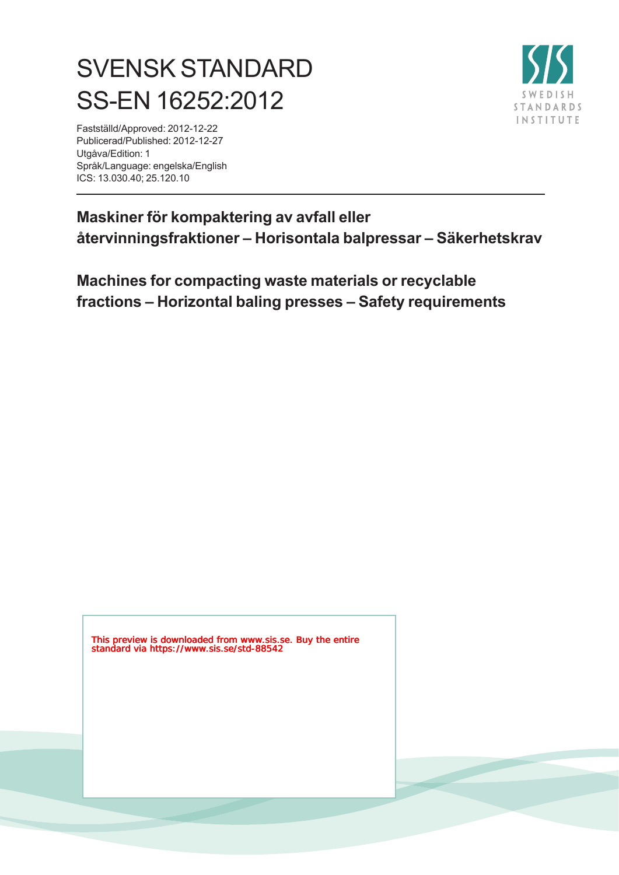# SVENSK STANDARD SS-EN 16252:2012

**SWEDISH STANDARDS INSTITUTE** 

Fastställd/Approved: 2012-12-22 Publicerad/Published: 2012-12-27 Utgåva/Edition: 1 Språk/Language: engelska/English ICS: 13.030.40; 25.120.10

## **Maskiner för kompaktering av avfall eller återvinningsfraktioner – Horisontala balpressar – Säkerhetskrav**

**Machines for compacting waste materials or recyclable fractions – Horizontal baling presses – Safety requirements**

This preview is downloaded from www.sis.se. Buy the entire standard via https://www.sis.se/std-88542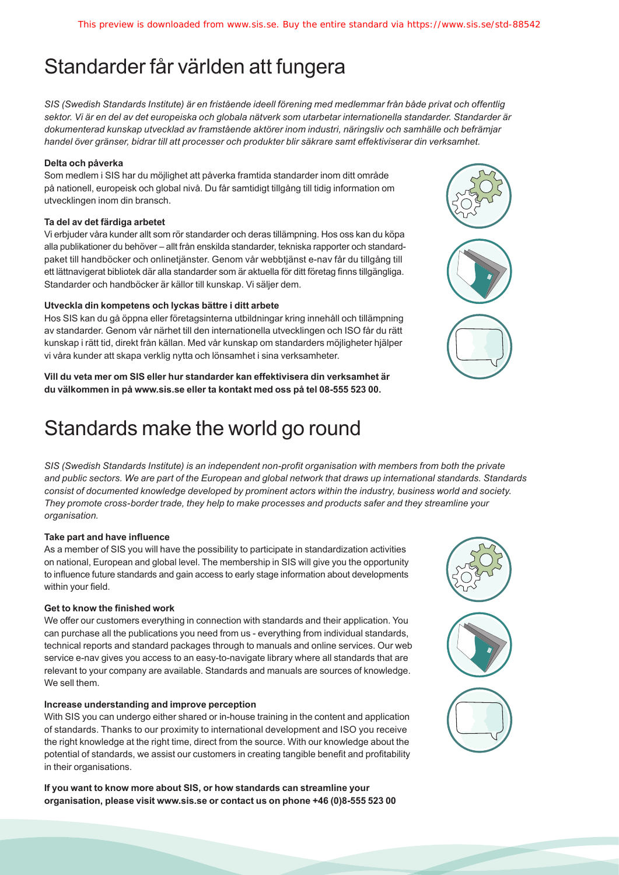## Standarder får världen att fungera

*SIS (Swedish Standards Institute) är en fristående ideell förening med medlemmar från både privat och offentlig sektor. Vi är en del av det europeiska och globala nätverk som utarbetar internationella standarder. Standarder är dokumenterad kunskap utvecklad av framstående aktörer inom industri, näringsliv och samhälle och befrämjar handel över gränser, bidrar till att processer och produkter blir säkrare samt effektiviserar din verksamhet.* 

#### **Delta och påverka**

Som medlem i SIS har du möjlighet att påverka framtida standarder inom ditt område på nationell, europeisk och global nivå. Du får samtidigt tillgång till tidig information om utvecklingen inom din bransch.

#### **Ta del av det färdiga arbetet**

Vi erbjuder våra kunder allt som rör standarder och deras tillämpning. Hos oss kan du köpa alla publikationer du behöver – allt från enskilda standarder, tekniska rapporter och standardpaket till handböcker och onlinetjänster. Genom vår webbtjänst e-nav får du tillgång till ett lättnavigerat bibliotek där alla standarder som är aktuella för ditt företag finns tillgängliga. Standarder och handböcker är källor till kunskap. Vi säljer dem.

#### **Utveckla din kompetens och lyckas bättre i ditt arbete**

Hos SIS kan du gå öppna eller företagsinterna utbildningar kring innehåll och tillämpning av standarder. Genom vår närhet till den internationella utvecklingen och ISO får du rätt kunskap i rätt tid, direkt från källan. Med vår kunskap om standarders möjligheter hjälper vi våra kunder att skapa verklig nytta och lönsamhet i sina verksamheter.

**Vill du veta mer om SIS eller hur standarder kan effektivisera din verksamhet är du välkommen in på www.sis.se eller ta kontakt med oss på tel 08-555 523 00.**

## Standards make the world go round

*SIS (Swedish Standards Institute) is an independent non-profit organisation with members from both the private and public sectors. We are part of the European and global network that draws up international standards. Standards consist of documented knowledge developed by prominent actors within the industry, business world and society. They promote cross-border trade, they help to make processes and products safer and they streamline your organisation.*

#### **Take part and have influence**

As a member of SIS you will have the possibility to participate in standardization activities on national, European and global level. The membership in SIS will give you the opportunity to influence future standards and gain access to early stage information about developments within your field.

#### **Get to know the finished work**

We offer our customers everything in connection with standards and their application. You can purchase all the publications you need from us - everything from individual standards, technical reports and standard packages through to manuals and online services. Our web service e-nav gives you access to an easy-to-navigate library where all standards that are relevant to your company are available. Standards and manuals are sources of knowledge. We sell them.

#### **Increase understanding and improve perception**

With SIS you can undergo either shared or in-house training in the content and application of standards. Thanks to our proximity to international development and ISO you receive the right knowledge at the right time, direct from the source. With our knowledge about the potential of standards, we assist our customers in creating tangible benefit and profitability in their organisations.

**If you want to know more about SIS, or how standards can streamline your organisation, please visit www.sis.se or contact us on phone +46 (0)8-555 523 00**



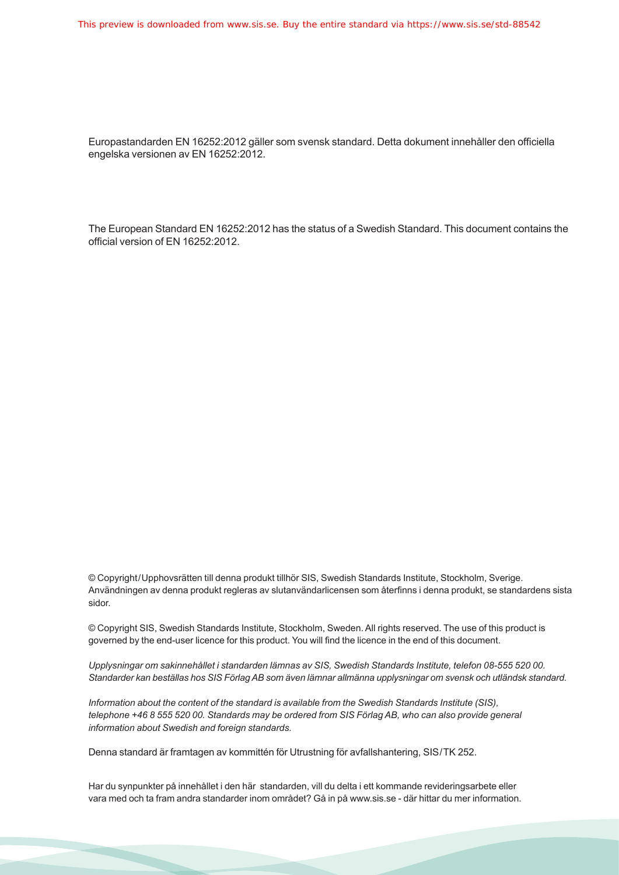Europastandarden EN 16252:2012 gäller som svensk standard. Detta dokument innehåller den officiella engelska versionen av EN 16252:2012.

The European Standard EN 16252:2012 has the status of a Swedish Standard. This document contains the official version of EN 16252:2012.

© Copyright / Upphovsrätten till denna produkt tillhör SIS, Swedish Standards Institute, Stockholm, Sverige. Användningen av denna produkt regleras av slutanvändarlicensen som återfinns i denna produkt, se standardens sista sidor.

© Copyright SIS, Swedish Standards Institute, Stockholm, Sweden. All rights reserved. The use of this product is governed by the end-user licence for this product. You will find the licence in the end of this document.

*Upplysningar om sakinnehållet i standarden lämnas av SIS, Swedish Standards Institute, telefon 08-555 520 00. Standarder kan beställas hos SIS Förlag AB som även lämnar allmänna upplysningar om svensk och utländsk standard.*

*Information about the content of the standard is available from the Swedish Standards Institute (SIS), telephone +46 8 555 520 00. Standards may be ordered from SIS Förlag AB, who can also provide general information about Swedish and foreign standards.*

Denna standard är framtagen av kommittén för Utrustning för avfallshantering, SIS / TK 252.

Har du synpunkter på innehållet i den här standarden, vill du delta i ett kommande revideringsarbete eller vara med och ta fram andra standarder inom området? Gå in på www.sis.se - där hittar du mer information.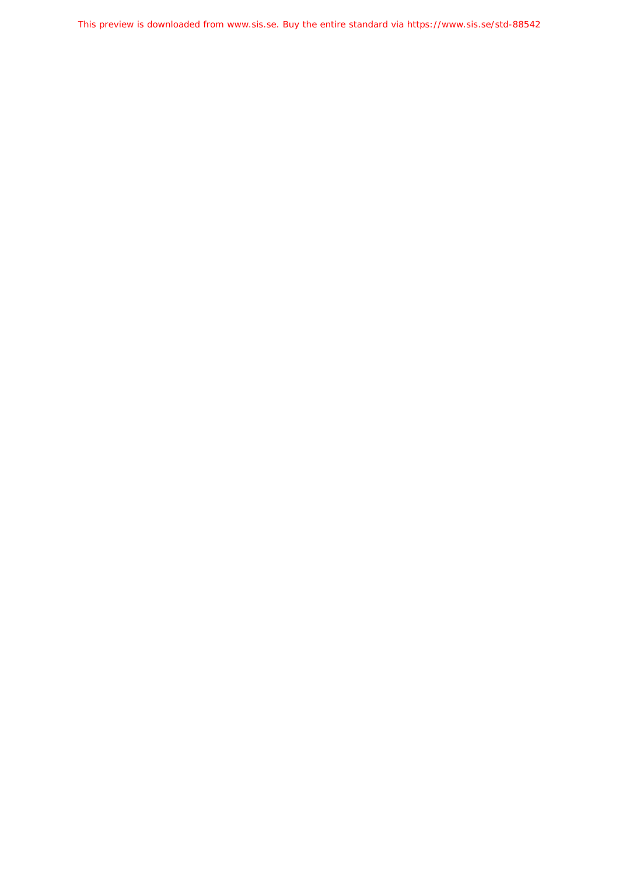This preview is downloaded from www.sis.se. Buy the entire standard via https://www.sis.se/std-88542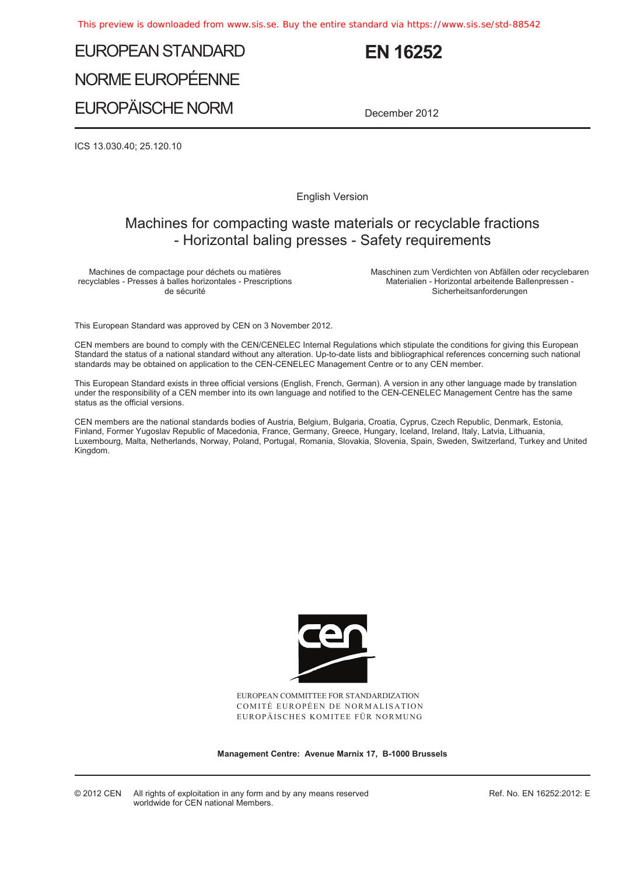## EUROPEAN STANDARD NORME EUROPÉENNE EUROPÄISCHE NORM

## **EN 16252**

December 2012

ICS 13.030.40; 25.120.10

English Version

### Machines for compacting waste materials or recyclable fractions - Horizontal baling presses - Safety requirements

Machines de compactage pour déchets ou matières recyclables - Presses à balles horizontales - Prescriptions de sécurité

 Maschinen zum Verdichten von Abfällen oder recyclebaren Materialien - Horizontal arbeitende Ballenpressen - Sicherheitsanforderungen

This European Standard was approved by CEN on 3 November 2012.

CEN members are bound to comply with the CEN/CENELEC Internal Regulations which stipulate the conditions for giving this European Standard the status of a national standard without any alteration. Up-to-date lists and bibliographical references concerning such national standards may be obtained on application to the CEN-CENELEC Management Centre or to any CEN member.

This European Standard exists in three official versions (English, French, German). A version in any other language made by translation under the responsibility of a CEN member into its own language and notified to the CEN-CENELEC Management Centre has the same status as the official versions.

CEN members are the national standards bodies of Austria, Belgium, Bulgaria, Croatia, Cyprus, Czech Republic, Denmark, Estonia, Finland, Former Yugoslav Republic of Macedonia, France, Germany, Greece, Hungary, Iceland, Ireland, Italy, Latvia, Lithuania, Luxembourg, Malta, Netherlands, Norway, Poland, Portugal, Romania, Slovakia, Slovenia, Spain, Sweden, Switzerland, Turkey and United Kingdom.



EUROPEAN COMMITTEE FOR STANDARDIZATION COMITÉ EUROPÉEN DE NORMALISATION EUROPÄISCHES KOMITEE FÜR NORMUNG

**Management Centre: Avenue Marnix 17, B-1000 Brussels** 

Ref. No. EN 16252:2012: E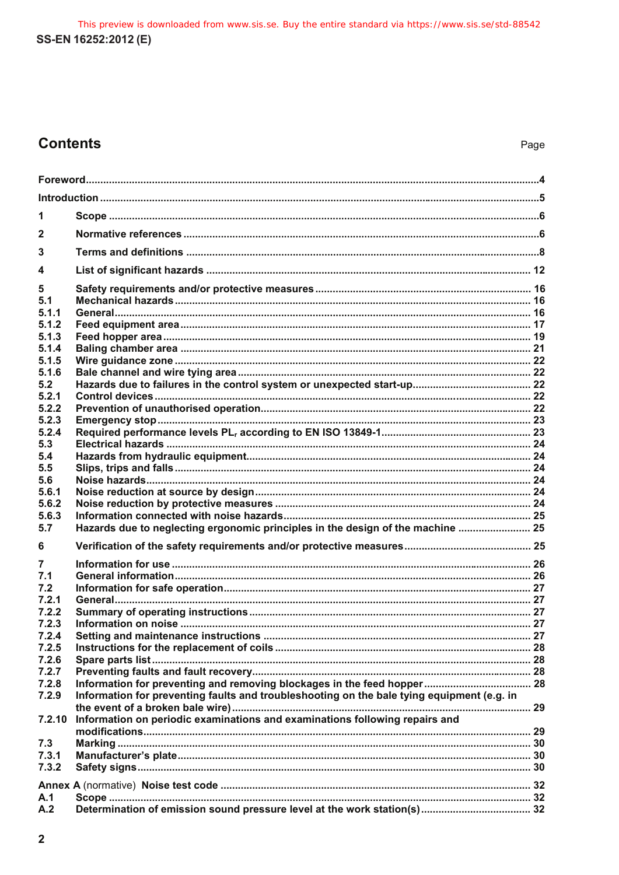This preview is downloaded from www.sis.se. Buy the entire standard via https://www.sis.se/std-88542 SS-EN 16252:2012 (E)

### **Contents**

| 1                       |                                                                                            |     |  |  |
|-------------------------|--------------------------------------------------------------------------------------------|-----|--|--|
| 2                       |                                                                                            |     |  |  |
| 3                       |                                                                                            |     |  |  |
| $\overline{\mathbf{4}}$ |                                                                                            |     |  |  |
| 5                       |                                                                                            |     |  |  |
| 5.1                     |                                                                                            |     |  |  |
| 5.1.1                   |                                                                                            |     |  |  |
| 5.1.2                   |                                                                                            |     |  |  |
| 5.1.3                   |                                                                                            |     |  |  |
| 5.1.4                   |                                                                                            |     |  |  |
| 5.1.5                   |                                                                                            |     |  |  |
| 5.1.6                   |                                                                                            |     |  |  |
| 5.2                     |                                                                                            |     |  |  |
| 5.2.1                   |                                                                                            |     |  |  |
| 5.2.2                   |                                                                                            |     |  |  |
| 5.2.3                   |                                                                                            |     |  |  |
| 5.2.4                   |                                                                                            |     |  |  |
| 5.3                     |                                                                                            |     |  |  |
| 5.4                     |                                                                                            |     |  |  |
| 5.5                     |                                                                                            |     |  |  |
| 5.6                     |                                                                                            |     |  |  |
| 5.6.1                   |                                                                                            |     |  |  |
| 5.6.2                   |                                                                                            |     |  |  |
| 5.6.3                   |                                                                                            |     |  |  |
| 5.7                     | Hazards due to neglecting ergonomic principles in the design of the machine  25            |     |  |  |
| 6                       |                                                                                            |     |  |  |
| 7                       |                                                                                            |     |  |  |
| 7.1                     |                                                                                            |     |  |  |
| 7.2                     |                                                                                            |     |  |  |
| 7.2.1                   |                                                                                            |     |  |  |
| 7.2.2                   |                                                                                            |     |  |  |
| 7.2.3                   |                                                                                            |     |  |  |
| 724                     |                                                                                            | .27 |  |  |
| 7.2.5                   |                                                                                            |     |  |  |
| 7.2.6                   |                                                                                            |     |  |  |
| 7.2.7                   |                                                                                            |     |  |  |
| 7.2.8                   |                                                                                            |     |  |  |
| 7.2.9                   | Information for preventing faults and troubleshooting on the bale tying equipment (e.g. in |     |  |  |
|                         |                                                                                            |     |  |  |
| 7.2.10                  | Information on periodic examinations and examinations following repairs and                |     |  |  |
| 7.3                     |                                                                                            |     |  |  |
| 7.3.1                   |                                                                                            |     |  |  |
| 7.3.2                   |                                                                                            |     |  |  |
|                         |                                                                                            |     |  |  |
|                         |                                                                                            |     |  |  |
| A.1                     |                                                                                            |     |  |  |
| A.2                     |                                                                                            |     |  |  |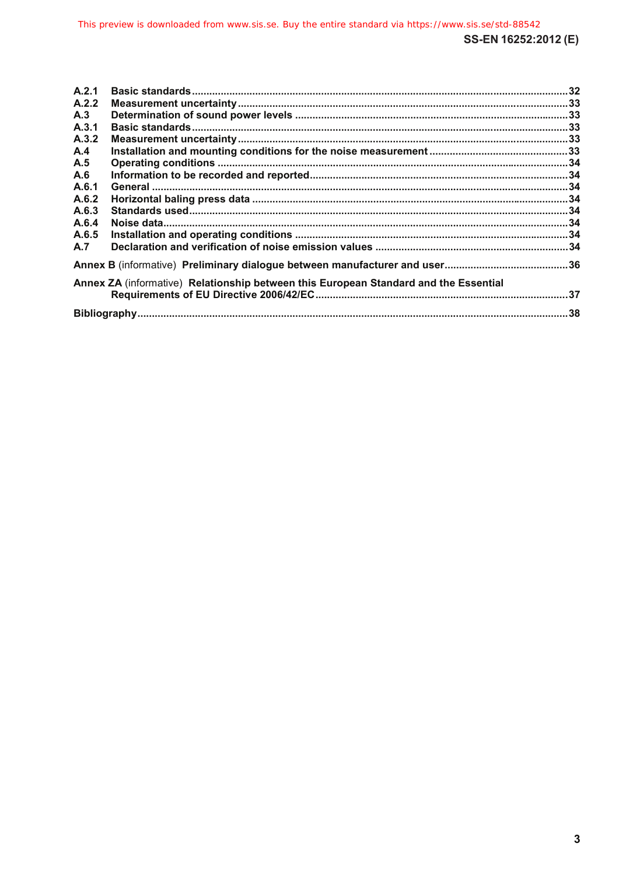| A.2.1 |                                                                                      |  |
|-------|--------------------------------------------------------------------------------------|--|
| A.2.2 |                                                                                      |  |
| A.3   |                                                                                      |  |
| A.3.1 |                                                                                      |  |
| A.3.2 |                                                                                      |  |
| A.4   |                                                                                      |  |
| A.5   |                                                                                      |  |
| A.6   |                                                                                      |  |
| A.6.1 |                                                                                      |  |
| A.6.2 |                                                                                      |  |
| A.6.3 |                                                                                      |  |
| A.6.4 |                                                                                      |  |
| A.6.5 |                                                                                      |  |
| A.7   |                                                                                      |  |
|       |                                                                                      |  |
|       | Annex ZA (informative) Relationship between this European Standard and the Essential |  |
|       |                                                                                      |  |
|       |                                                                                      |  |
|       |                                                                                      |  |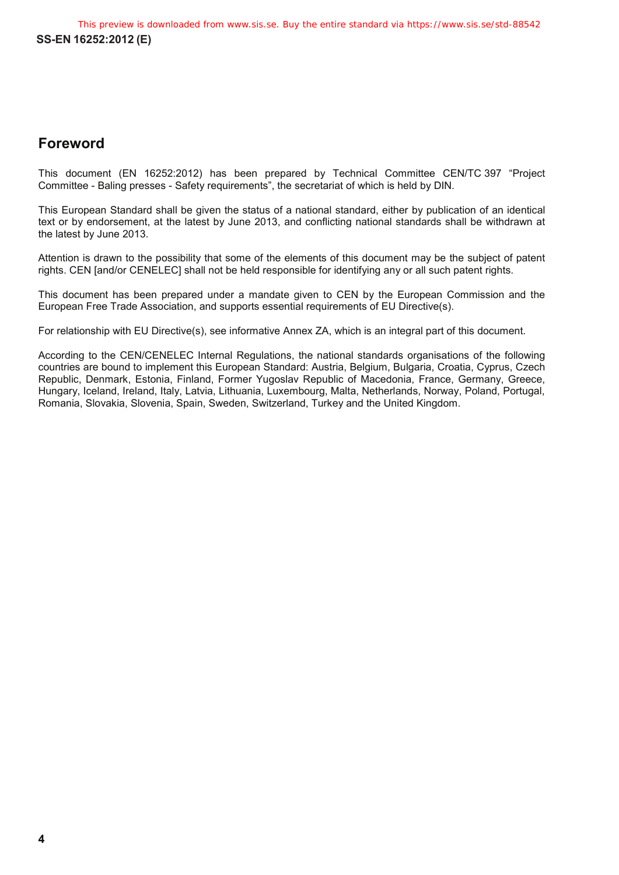### **Foreword**

This document (EN 16252:2012) has been prepared by Technical Committee CEN/TC 397 "Project Committee - Baling presses - Safety requirements", the secretariat of which is held by DIN.

This European Standard shall be given the status of a national standard, either by publication of an identical text or by endorsement, at the latest by June 2013, and conflicting national standards shall be withdrawn at the latest by June 2013.

Attention is drawn to the possibility that some of the elements of this document may be the subject of patent rights. CEN [and/or CENELEC] shall not be held responsible for identifying any or all such patent rights.

This document has been prepared under a mandate given to CEN by the European Commission and the European Free Trade Association, and supports essential requirements of EU Directive(s).

For relationship with EU Directive(s), see informative Annex ZA, which is an integral part of this document.

According to the CEN/CENELEC Internal Regulations, the national standards organisations of the following countries are bound to implement this European Standard: Austria, Belgium, Bulgaria, Croatia, Cyprus, Czech Republic, Denmark, Estonia, Finland, Former Yugoslav Republic of Macedonia, France, Germany, Greece, Hungary, Iceland, Ireland, Italy, Latvia, Lithuania, Luxembourg, Malta, Netherlands, Norway, Poland, Portugal, Romania, Slovakia, Slovenia, Spain, Sweden, Switzerland, Turkey and the United Kingdom.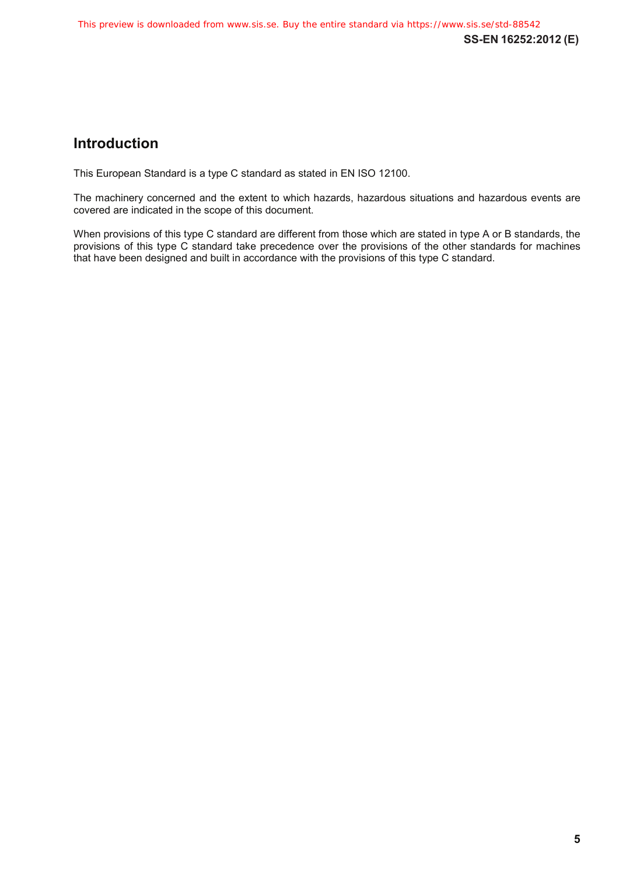### **Introduction**

This European Standard is a type C standard as stated in EN ISO 12100.

The machinery concerned and the extent to which hazards, hazardous situations and hazardous events are covered are indicated in the scope of this document.

When provisions of this type C standard are different from those which are stated in type A or B standards, the provisions of this type C standard take precedence over the provisions of the other standards for machines that have been designed and built in accordance with the provisions of this type C standard.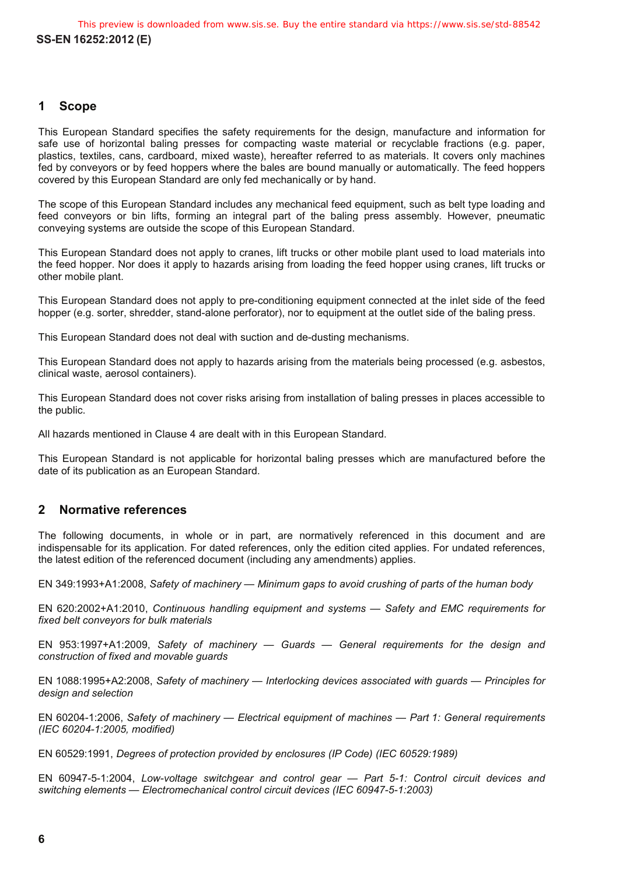#### **1 Scope**

This European Standard specifies the safety requirements for the design, manufacture and information for safe use of horizontal baling presses for compacting waste material or recyclable fractions (e.g. paper, plastics, textiles, cans, cardboard, mixed waste), hereafter referred to as materials. It covers only machines fed by conveyors or by feed hoppers where the bales are bound manually or automatically. The feed hoppers covered by this European Standard are only fed mechanically or by hand.

The scope of this European Standard includes any mechanical feed equipment, such as belt type loading and feed conveyors or bin lifts, forming an integral part of the baling press assembly. However, pneumatic conveying systems are outside the scope of this European Standard.

This European Standard does not apply to cranes, lift trucks or other mobile plant used to load materials into the feed hopper. Nor does it apply to hazards arising from loading the feed hopper using cranes, lift trucks or other mobile plant.

This European Standard does not apply to pre-conditioning equipment connected at the inlet side of the feed hopper (e.g. sorter, shredder, stand-alone perforator), nor to equipment at the outlet side of the baling press.

This European Standard does not deal with suction and de-dusting mechanisms.

This European Standard does not apply to hazards arising from the materials being processed (e.g. asbestos, clinical waste, aerosol containers).

This European Standard does not cover risks arising from installation of baling presses in places accessible to the public.

All hazards mentioned in Clause 4 are dealt with in this European Standard.

This European Standard is not applicable for horizontal baling presses which are manufactured before the date of its publication as an European Standard.

#### **2 Normative references**

The following documents, in whole or in part, are normatively referenced in this document and are indispensable for its application. For dated references, only the edition cited applies. For undated references, the latest edition of the referenced document (including any amendments) applies.

EN 349:1993+A1:2008, *Safety of machinery — Minimum gaps to avoid crushing of parts of the human body*

EN 620:2002+A1:2010, *Continuous handling equipment and systems — Safety and EMC requirements for fixed belt conveyors for bulk materials* 

EN 953:1997+A1:2009, *Safety of machinery — Guards — General requirements for the design and construction of fixed and movable guards* 

EN 1088:1995+A2:2008, *Safety of machinery — Interlocking devices associated with guards — Principles for design and selection* 

EN 60204-1:2006, *Safety of machinery — Electrical equipment of machines — Part 1: General requirements (IEC 60204-1:2005, modified)* 

EN 60529:1991, *Degrees of protection provided by enclosures (IP Code) (IEC 60529:1989)*

EN 60947-5-1:2004, *Low-voltage switchgear and control gear — Part 5-1: Control circuit devices and switching elements — Electromechanical control circuit devices (IEC 60947-5-1:2003)*